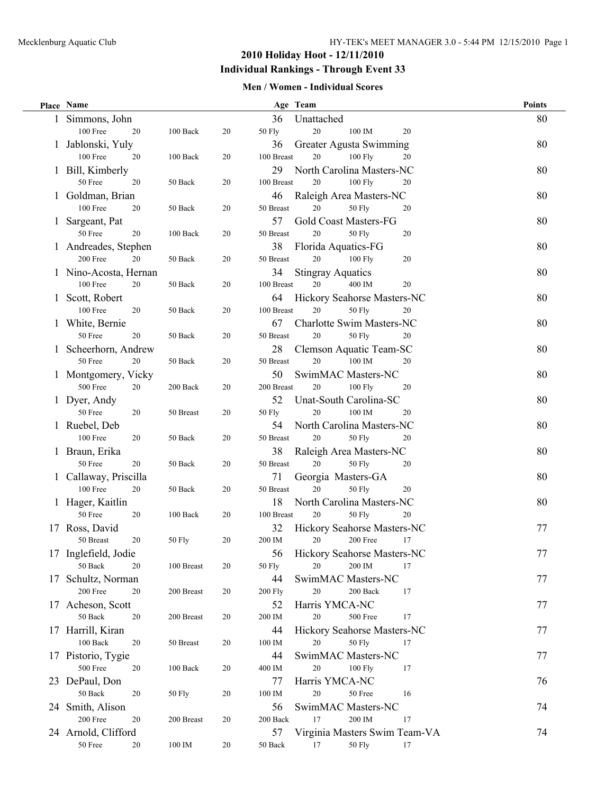### **2010 Holiday Hoot - 12/11/2010 Individual Rankings - Through Event 33**

#### **Men / Women - Individual Scores**

|    | Place Name                      |                      |    |                      | Age Team                                | <b>Points</b> |
|----|---------------------------------|----------------------|----|----------------------|-----------------------------------------|---------------|
|    | 1 Simmons, John                 |                      |    | 36                   | Unattached                              | 80            |
|    | 100 Free<br>20                  | 100 Back             | 20 | 50 Fly               | 20<br>$100\ \mathrm{IM}$<br>20          |               |
|    | 1 Jablonski, Yuly               |                      |    | 36                   | Greater Agusta Swimming                 | 80            |
|    | 100 Free<br>20                  | 100 Back             | 20 | 100 Breast           | $20\,$<br>100 Fly<br>20                 |               |
|    | 1 Bill, Kimberly                |                      |    | 29                   | North Carolina Masters-NC               | 80            |
|    | 50 Free<br>20                   | 50 Back              | 20 | 100 Breast           | 20<br>100 Fly<br>20                     |               |
|    | 1 Goldman, Brian                |                      |    | 46                   | Raleigh Area Masters-NC                 | 80            |
|    | <b>100 Free</b><br>20           | 50 Back              | 20 | 50 Breast            | 20<br><b>50 Fly</b><br>20               |               |
|    | 1 Sargeant, Pat                 |                      |    | 57                   | Gold Coast Masters-FG                   | 80            |
|    | 50 Free<br>20                   | 100 Back             | 20 | 50 Breast            | 20<br><b>50 Fly</b><br>20               |               |
|    | 1 Andreades, Stephen            |                      |    | 38                   | Florida Aquatics-FG                     | 80            |
|    | 200 Free<br>20                  | 50 Back              | 20 | 50 Breast            | 20<br>$100$ Fly<br>20                   |               |
|    | 1 Nino-Acosta, Hernan           |                      |    | 34                   | <b>Stingray Aquatics</b>                | 80            |
|    | 100 Free<br>20                  | 50 Back              | 20 | 100 Breast           | 20<br>400 IM<br>20                      |               |
|    | 1 Scott, Robert                 |                      |    | 64                   | Hickory Seahorse Masters-NC             | 80            |
|    | 100 Free<br>20                  | 50 Back              | 20 | 100 Breast           | 20<br><b>50 Fly</b><br>20               |               |
|    | 1 White, Bernie                 |                      |    | 67                   | Charlotte Swim Masters-NC               | 80            |
|    | 50 Free<br>20                   | 50 Back              | 20 | $50\ \mathrm{Breat}$ | 20<br><b>50 Fly</b><br>20               |               |
|    |                                 |                      |    |                      |                                         |               |
|    | 1 Scheerhorn, Andrew<br>50 Free |                      |    | 28<br>50 Breast      | Clemson Aquatic Team-SC<br>20<br>100 IM | 80            |
|    | 20                              | 50 Back              | 20 |                      | 20                                      |               |
|    | 1 Montgomery, Vicky             |                      |    | 50                   | SwimMAC Masters-NC                      | 80            |
|    | 500 Free<br>20                  | 200 Back             | 20 | 200 Breast           | 20<br>100 Fly<br>20                     |               |
|    | 1 Dyer, Andy                    |                      |    | 52                   | Unat-South Carolina-SC                  | 80            |
|    | 50 Free<br>20                   | 50 Breast            | 20 | 50 Fly               | 20<br>100 IM<br>20                      |               |
|    | 1 Ruebel, Deb                   |                      |    | 54                   | North Carolina Masters-NC               | 80            |
|    | 100 Free<br>20                  | 50 Back              | 20 | 50 Breast            | 20<br><b>50 Fly</b><br>20               |               |
|    | 1 Braun, Erika                  |                      |    | 38                   | Raleigh Area Masters-NC                 | 80            |
|    | 50 Free<br>20                   | 50 Back              | 20 | 50 Breast            | 20<br><b>50 Fly</b><br>20               |               |
|    | 1 Callaway, Priscilla           |                      |    | 71                   | Georgia Masters-GA                      | 80            |
|    | 100 Free<br>20                  | 50 Back              | 20 | 50 Breast            | 20<br><b>50 Fly</b><br>20               |               |
|    | 1 Hager, Kaitlin                |                      |    | 18                   | North Carolina Masters-NC               | 80            |
|    | 50 Free<br>20                   | 100 Back             | 20 | 100 Breast           | 20<br><b>50 Fly</b><br>20               |               |
|    | 17 Ross, David                  |                      |    | 32                   | Hickory Seahorse Masters-NC             | 77            |
|    | 20<br>50 Breast                 | 50 Fly               | 20 | 200 IM               | $20\,$<br>17<br>200 Free                |               |
|    | 17 Inglefield, Jodie            |                      |    | 56                   | Hickory Seahorse Masters-NC             | 77            |
|    | 50 Back<br>20                   | 100 Breast           | 20 | 50 Fly               | 20<br>200 IM<br>17                      |               |
| 17 | Schultz, Norman                 |                      |    | 44                   | SwimMAC Masters-NC                      | 77            |
|    | 200 Free<br>20                  | 200 Breast           | 20 | <b>200 Fly</b>       | 20<br>200 Back<br>17                    |               |
|    | 17 Acheson, Scott               |                      |    | 52                   | Harris YMCA-NC                          | 77            |
|    | $50\ \rm{Back}$<br>20           | 200 Breast           | 20 | 200 IM               | 20<br>500 Free<br>17                    |               |
|    | 17 Harrill, Kiran               |                      |    | 44                   | Hickory Seahorse Masters-NC             | 77            |
|    | $100~{\rm Back}$<br>20          | $50\ \mathrm{Breat}$ | 20 | 100 IM               | $20\,$<br><b>50 Fly</b><br>17           |               |
|    | 17 Pistorio, Tygie              |                      |    | 44                   | SwimMAC Masters-NC                      | 77            |
|    | 500 Free<br>20                  | $100\text{ Back}$    | 20 | 400 IM               | 20<br>100 Fly<br>17                     |               |
|    | 23 DePaul, Don                  |                      |    | 77                   | Harris YMCA-NC                          | 76            |
|    | $50\ \rm{Back}$<br>20           | 50 Fly               | 20 | 100 IM               | 20<br>50 Free<br>16                     |               |
|    | 24 Smith, Alison                |                      |    | 56                   | SwimMAC Masters-NC                      | 74            |
|    | 200 Free<br>20                  | 200 Breast           | 20 | 200 Back             | 200 IM<br>17<br>17                      |               |
|    | 24 Arnold, Clifford             |                      |    | 57                   | Virginia Masters Swim Team-VA           | 74            |
|    | $50\,\mathrm{Free}$<br>20       | 100 IM               | 20 | 50 Back              | 17<br><b>50 Fly</b><br>17               |               |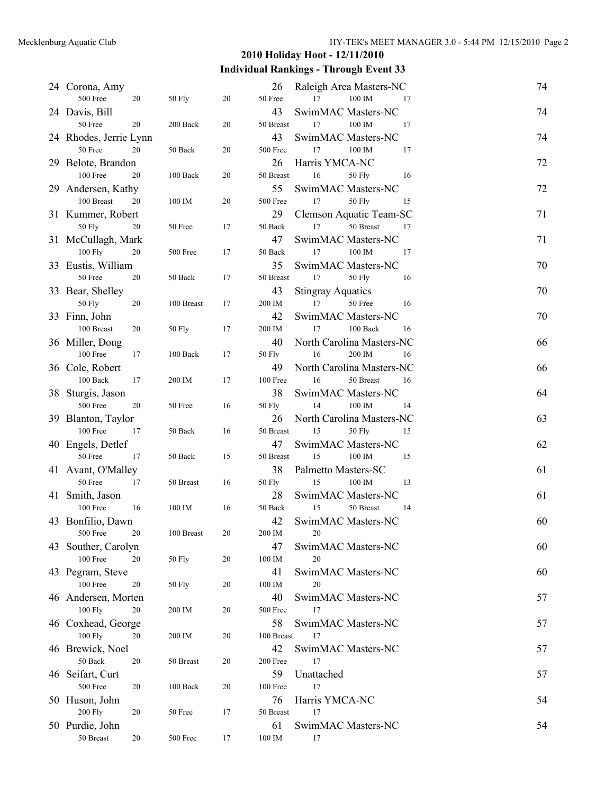### **2010 Holiday Hoot - 12/11/2010**

# **Individual Rankings - Through Event 33**

|    | 24 Corona, Amy                |    |               |    | 26         | Raleigh Area Masters-NC                   | 74 |
|----|-------------------------------|----|---------------|----|------------|-------------------------------------------|----|
|    | 500 Free                      | 20 | 50 Fly        | 20 | 50 Free    | 100 IM<br>17<br>17                        |    |
|    | 24 Davis, Bill                |    |               |    | 43         | SwimMAC Masters-NC                        | 74 |
|    | 50 Free                       | 20 | 200 Back      | 20 | 50 Breast  | 17<br>100 IM<br>17                        |    |
|    | 24 Rhodes, Jerrie Lynn        |    |               |    | 43         | SwimMAC Masters-NC                        | 74 |
|    | 50 Free                       | 20 | 50 Back       | 20 | 500 Free   | 17<br>100 IM<br>17                        |    |
|    | 29 Belote, Brandon            |    |               |    | 26         | Harris YMCA-NC                            | 72 |
|    | 100 Free                      | 20 | 100 Back      | 20 | 50 Breast  | 16<br>50 Fly<br>16                        |    |
|    | 29 Andersen, Kathy            |    |               |    | 55         | SwimMAC Masters-NC                        | 72 |
|    | 100 Breast                    | 20 | 100 IM        | 20 | 500 Free   | 17<br><b>50 Fly</b><br>15                 |    |
|    | 31 Kummer, Robert             |    |               |    | 29         | Clemson Aquatic Team-SC                   | 71 |
|    | 50 Fly                        | 20 | 50 Free       | 17 | 50 Back    | 17<br>50 Breast<br>17                     |    |
|    | 31 McCullagh, Mark            |    |               |    | 47         | SwimMAC Masters-NC                        | 71 |
|    | 100 Fly                       | 20 | 500 Free      | 17 | 50 Back    | 17<br>100 IM<br>17                        |    |
|    | 33 Eustis, William            |    |               |    | 35         | SwimMAC Masters-NC                        | 70 |
|    | 50 Free                       | 20 | 50 Back       | 17 | 50 Breast  | 17<br><b>50 Fly</b><br>16                 |    |
|    | 33 Bear, Shelley              |    |               |    | 43         | <b>Stingray Aquatics</b>                  | 70 |
|    | 50 Fly                        | 20 | 100 Breast    | 17 | 200 IM     | 17<br>50 Free<br>16                       |    |
|    | 33 Finn, John                 |    |               |    | 42         | SwimMAC Masters-NC                        | 70 |
|    | 100 Breast                    | 20 | 50 Fly        | 17 | 200 IM     | 17<br>100 Back<br>16                      |    |
|    | 36 Miller, Doug               |    |               |    | 40         | North Carolina Masters-NC                 | 66 |
|    | 100 Free                      | 17 | 100 Back      | 17 | 50 Fly     | 16<br>200 IM<br>16                        |    |
|    | 36 Cole, Robert               |    |               |    | 49         | North Carolina Masters-NC                 | 66 |
|    | 100 Back                      | 17 | 200 IM        | 17 | 100 Free   | 50 Breast<br>16<br>16                     |    |
|    | 38 Sturgis, Jason             |    |               |    | 38         | SwimMAC Masters-NC                        | 64 |
|    | 500 Free                      | 20 | 50 Free       | 16 | 50 Fly     | 100 IM<br>14<br>14                        |    |
|    | 39 Blanton, Taylor            |    |               |    | 26         | North Carolina Masters-NC                 | 63 |
|    | 100 Free                      | 17 | 50 Back       | 16 | 50 Breast  | 15<br>50 Fly<br>15                        |    |
|    |                               |    |               |    | 47         |                                           | 62 |
|    | 40 Engels, Detlef<br>50 Free  | 17 | 50 Back       | 15 | 50 Breast  | SwimMAC Masters-NC<br>15<br>100 IM<br>15  |    |
|    |                               |    |               |    |            |                                           |    |
|    | 41 Avant, O'Malley<br>50 Free | 17 |               | 16 | 38         | Palmetto Masters-SC<br>100 IM<br>15<br>13 | 61 |
|    |                               |    | 50 Breast     |    | 50 Fly     |                                           |    |
|    | 41 Smith, Jason               |    |               |    | 28         | SwimMAC Masters-NC                        | 61 |
|    | 100 Free                      | 16 | 100 IM        | 16 | 50 Back    | 15<br>50 Breast<br>14                     |    |
|    | 43 Bonfilio, Dawn             |    |               |    | 42         | SwimMAC Masters-NC                        | 60 |
|    | 500 Free                      | 20 | 100 Breast    | 20 | 200 IM     | 20                                        |    |
| 43 | Souther, Carolyn              |    |               |    | 47         | SwimMAC Masters-NC                        | 60 |
|    | 100 Free                      | 20 | 50 Fly        | 20 | 100 IM     | 20                                        |    |
|    | 43 Pegram, Steve              |    |               |    | 41         | SwimMAC Masters-NC                        | 60 |
|    | 100 Free                      | 20 | <b>50 Fly</b> | 20 | 100 IM     | 20                                        |    |
|    | 46 Andersen, Morten           |    |               |    | 40         | SwimMAC Masters-NC                        | 57 |
|    | 100 Fly                       | 20 | 200 IM        | 20 | 500 Free   | 17                                        |    |
|    | 46 Coxhead, George            |    |               |    | 58         | SwimMAC Masters-NC                        | 57 |
|    | 100 Fly                       | 20 | 200 IM        | 20 | 100 Breast | 17                                        |    |
|    | 46 Brewick, Noel              |    |               |    | 42         | SwimMAC Masters-NC                        | 57 |
|    | 50 Back                       | 20 | 50 Breast     | 20 | 200 Free   | 17                                        |    |
|    | 46 Seifart, Curt              |    |               |    | 59         | Unattached                                | 57 |
|    | 500 Free                      | 20 | 100 Back      | 20 | 100 Free   | 17                                        |    |
|    | 50 Huson, John                |    |               |    | 76         | Harris YMCA-NC                            | 54 |
|    | <b>200 Fly</b>                | 20 | 50 Free       | 17 | 50 Breast  | 17                                        |    |
|    | 50 Purdie, John               |    |               |    | 61         | SwimMAC Masters-NC                        | 54 |
|    | $50\ \mathrm{Breat}$          | 20 | 500 Free      | 17 | 100 IM     | 17                                        |    |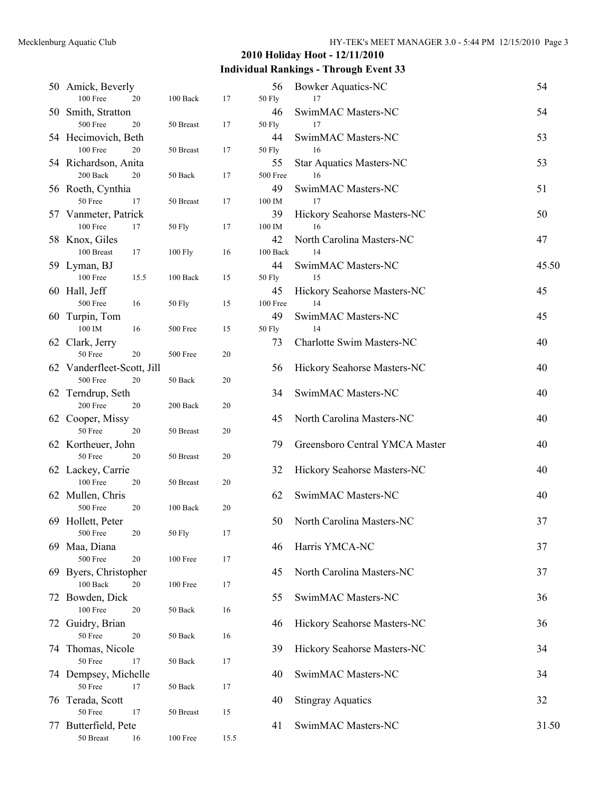# **2010 Holiday Hoot - 12/11/2010**

# **Individual Rankings - Through Event 33**

|    | 50 Amick, Beverly<br>100 Free<br>20          | 100 Back  | 17   | 56<br>50 Fly | <b>Bowker Aquatics-NC</b><br>17 | 54    |
|----|----------------------------------------------|-----------|------|--------------|---------------------------------|-------|
|    | 50 Smith, Stratton                           |           |      | 46           | SwimMAC Masters-NC              | 54    |
|    | 500 Free<br>20                               | 50 Breast | 17   | 50 Fly       | 17                              |       |
|    | 54 Hecimovich, Beth                          |           |      | 44           | SwimMAC Masters-NC              | 53    |
|    | 100 Free<br>20                               | 50 Breast | 17   | 50 Fly       | 16                              |       |
|    | 54 Richardson, Anita                         |           |      | 55           | <b>Star Aquatics Masters-NC</b> | 53    |
|    | 200 Back<br>20                               | 50 Back   | 17   | 500 Free     | 16                              |       |
|    | 56 Roeth, Cynthia                            |           |      | 49           | SwimMAC Masters-NC              | 51    |
|    | 50 Free<br>17                                | 50 Breast | 17   | 100 IM       | 17                              |       |
|    | 57 Vanmeter, Patrick                         |           |      | 39           | Hickory Seahorse Masters-NC     | 50    |
|    | 100 Free<br>17                               | 50 Fly    | 17   | 100 IM       | 16                              |       |
|    | 58 Knox, Giles                               |           |      | 42           | North Carolina Masters-NC       | 47    |
|    | 100 Breast<br>17                             | 100 Fly   | 16   | 100 Back     | 14                              |       |
|    | 59 Lyman, BJ                                 |           |      | 44           | SwimMAC Masters-NC              | 45.50 |
|    | 100 Free<br>15.5                             | 100 Back  | 15   | 50 Fly       | 15                              |       |
|    | 60 Hall, Jeff                                |           |      | 45           | Hickory Seahorse Masters-NC     | 45    |
|    | 500 Free<br>16                               | 50 Fly    | 15   | 100 Free     | 14                              |       |
|    | 60 Turpin, Tom                               |           |      | 49           | SwimMAC Masters-NC              | 45    |
|    | 100 IM<br>16                                 | 500 Free  | 15   | 50 Fly       | 14                              |       |
|    | 62 Clark, Jerry                              |           |      | 73           | Charlotte Swim Masters-NC       | 40    |
|    | 50 Free<br>20                                | 500 Free  | 20   |              |                                 |       |
|    | 62 Vanderfleet-Scott, Jill<br>500 Free<br>20 | 50 Back   | 20   | 56           | Hickory Seahorse Masters-NC     | 40    |
|    | 62 Terndrup, Seth                            |           |      | 34           | SwimMAC Masters-NC              | 40    |
|    | 200 Free<br>20                               | 200 Back  | 20   |              |                                 |       |
|    | 62 Cooper, Missy                             |           |      | 45           | North Carolina Masters-NC       | 40    |
|    | 50 Free<br>20                                | 50 Breast | 20   |              |                                 |       |
|    | 62 Kortheuer, John                           |           |      | 79           | Greensboro Central YMCA Master  | 40    |
|    | 50 Free<br>20                                | 50 Breast | 20   |              |                                 |       |
|    | 62 Lackey, Carrie                            |           |      | 32           | Hickory Seahorse Masters-NC     | 40    |
|    | 100 Free<br>20                               | 50 Breast | 20   |              |                                 |       |
|    | 62 Mullen, Chris                             |           |      | 62           | SwimMAC Masters-NC              | 40    |
|    | 500 Free<br>20                               | 100 Back  | 20   |              |                                 |       |
|    | 69 Hollett, Peter                            |           |      | 50           | North Carolina Masters-NC       | 37    |
|    | $500\,\mathrm{Free}$<br>20                   | 50 Fly    | 17   |              |                                 |       |
|    | 69 Maa, Diana                                |           |      | 46           | Harris YMCA-NC                  | 37    |
|    | 500 Free<br>$20\,$                           | 100 Free  | 17   |              |                                 |       |
|    | 69 Byers, Christopher                        |           |      | 45           | North Carolina Masters-NC       | 37    |
|    | 100 Back<br>20<br>Bowden, Dick               | 100 Free  | 17   |              | SwimMAC Masters-NC              |       |
| 72 | 100 Free<br>20                               | 50 Back   | 16   | 55           |                                 | 36    |
|    | 72 Guidry, Brian                             |           |      | 46           | Hickory Seahorse Masters-NC     | 36    |
|    | 50 Free<br>20                                | 50 Back   | 16   |              |                                 |       |
|    | 74 Thomas, Nicole                            |           |      | 39           | Hickory Seahorse Masters-NC     | 34    |
|    | 50 Free<br>17                                | 50 Back   | 17   |              |                                 |       |
|    | 74 Dempsey, Michelle                         |           |      | 40           | SwimMAC Masters-NC              | 34    |
|    | 50 Free<br>17                                | 50 Back   | 17   |              |                                 |       |
|    | 76 Terada, Scott                             |           |      | 40           | <b>Stingray Aquatics</b>        | 32    |
|    | 50 Free<br>17                                | 50 Breast | 15   |              |                                 |       |
|    | 77 Butterfield, Pete                         |           |      | 41           | SwimMAC Masters-NC              | 31.50 |
|    | $50\ \mathrm{Breat}$<br>16                   | 100 Free  | 15.5 |              |                                 |       |